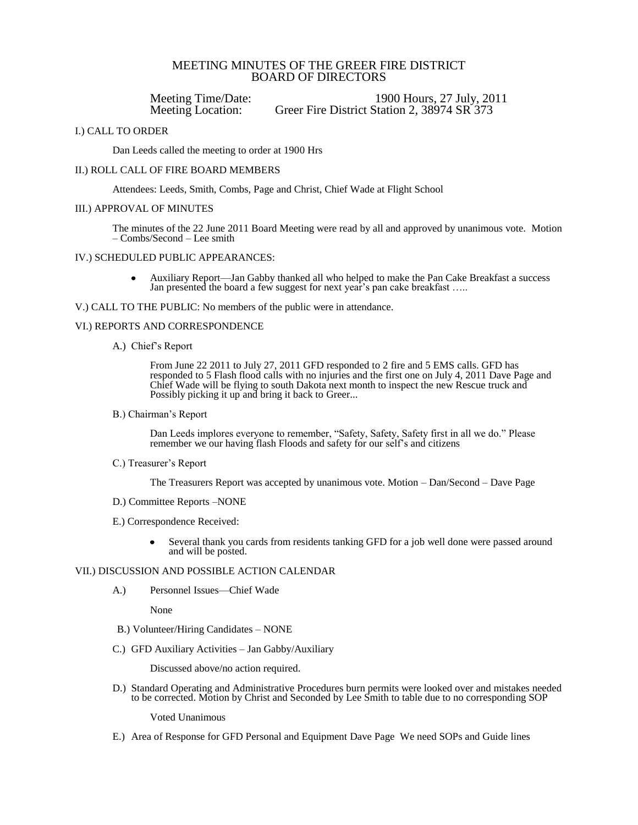# MEETING MINUTES OF THE GREER FIRE DISTRICT BOARD OF DIRECTORS

Meeting Time/Date: 1900 Hours, 27 July, 2011<br>Meeting Location: Greer Fire District Station 2, 38974 SR 373 Greer Fire District Station 2, 38974 SR 373

### I.) CALL TO ORDER

Dan Leeds called the meeting to order at 1900 Hrs

### II.) ROLL CALL OF FIRE BOARD MEMBERS

Attendees: Leeds, Smith, Combs, Page and Christ, Chief Wade at Flight School

### III.) APPROVAL OF MINUTES

The minutes of the 22 June 2011 Board Meeting were read by all and approved by unanimous vote. Motion – Combs/Second – Lee smith

## IV.) SCHEDULED PUBLIC APPEARANCES:

Auxiliary Report—Jan Gabby thanked all who helped to make the Pan Cake Breakfast a success Jan presented the board a few suggest for next year's pan cake breakfast …..

V.) CALL TO THE PUBLIC: No members of the public were in attendance.

### VI.) REPORTS AND CORRESPONDENCE

A.) Chief's Report

From June 22 2011 to July 27, 2011 GFD responded to 2 fire and 5 EMS calls. GFD has responded to 5 Flash flood calls with no injuries and the first one on July 4, 2011 Dave Page and Chief Wade will be flying to south Dakota next month to inspect the new Rescue truck and Possibly picking it up and bring it back to Greer...

B.) Chairman's Report

Dan Leeds implores everyone to remember, "Safety, Safety, Safety first in all we do." Please remember we our having flash Floods and safety for our self's and citizens

C.) Treasurer's Report

The Treasurers Report was accepted by unanimous vote. Motion – Dan/Second – Dave Page

- D.) Committee Reports –NONE
- E.) Correspondence Received:
	- Several thank you cards from residents tanking GFD for a job well done were passed around and will be posted.

### VII.) DISCUSSION AND POSSIBLE ACTION CALENDAR

A.) Personnel Issues—Chief Wade

None

- B.) Volunteer/Hiring Candidates NONE
- C.) GFD Auxiliary Activities Jan Gabby/Auxiliary

Discussed above/no action required.

D.) Standard Operating and Administrative Procedures burn permits were looked over and mistakes needed to be corrected. Motion by Christ and Seconded by Lee Smith to table due to no corresponding SOP

Voted Unanimous

E.) Area of Response for GFD Personal and Equipment Dave Page We need SOPs and Guide lines